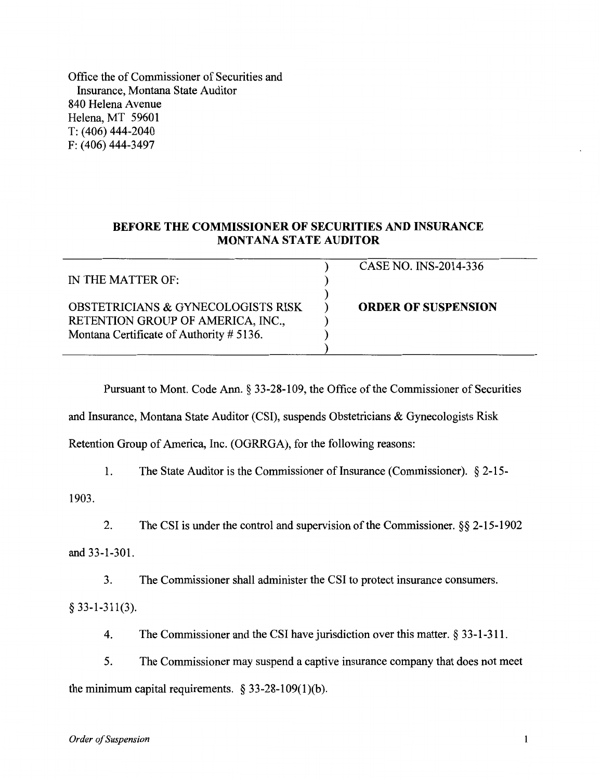Office the of Commissioner of Securities and Insurance, Montana State Auditor 840 Helena Avenue Helena, MT 59601 T: (406) 444-2040 F: (406) 444-3497

## **BEFORE THE COMMISSIONER OF SECURITIES AND INSURANCE MONTANA STATE AUDITOR**

| IN THE MATTER OF:                                                                                                              | CASE NO. INS-2014-336      |
|--------------------------------------------------------------------------------------------------------------------------------|----------------------------|
| <b>OBSTETRICIANS &amp; GYNECOLOGISTS RISK</b><br>RETENTION GROUP OF AMERICA, INC.,<br>Montana Certificate of Authority # 5136. | <b>ORDER OF SUSPENSION</b> |

Pursuant to Mont. Code Ann. § 33-28-109, the Office of the Commissioner of Securities

and Insurance, Montana State Auditor (CSI), suspends Obstetricians & Gynecologists Risk

Retention Group of America, Inc. (OGRRGA), for the following reasons:

1. The State Auditor is the Commissioner of Insurance (Commissioner). § 2-15-

1903.

2. The CSI is under the control and supervision of the Commissioner. §§ 2-15-1902

and 33-1-301.

3. The Commissioner shall administer the CSI to protect insurance consumers.

§ 33-1-311(3).

4. The Commissioner and the CSI have jurisdiction over this matter. § 33-1-311.

the minimum capital requirements.  $\S$  33-28-109(1)(b). 5. The Commissioner may suspend a captive insurance company that does not meet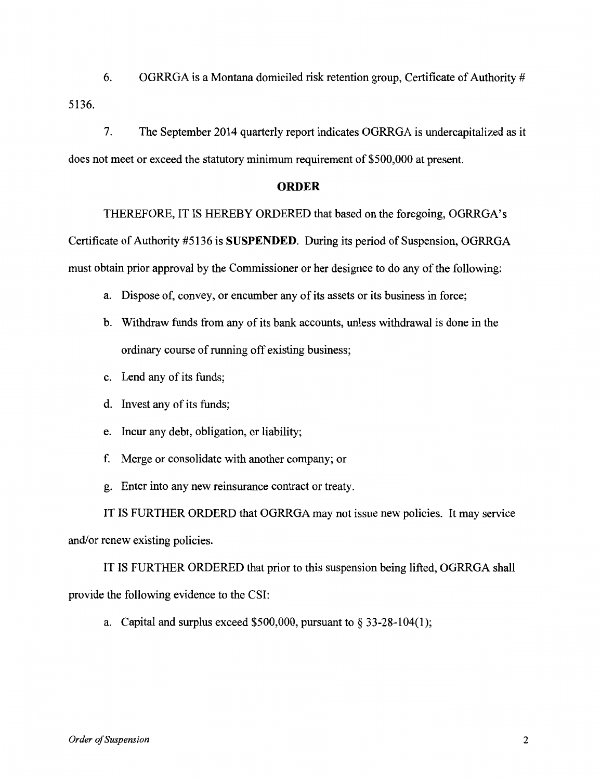5136. 6. OGRRGA is a Montana domiciled risk retention group, Certificate of Authority #

7. The September 2014 quarterly report indicates OGRRGA is undercapitalized as it does not meet or exceed the statutory minimum requirement of \$500,000 at present.

## **ORDER**

THEREFORE, IT IS HEREBY ORDERED that based on the foregoing, OGRRGA's Certificate of Authority #5136 is SUSPENDED. During its period of Suspension, OGRRGA must obtain prior approval by the Commissioner or her designee to do any of the following:

- a. Dispose of, convey, or encumber any of its assets or its business in force;
- b. Withdraw funds from any of its bank accounts, unless withdrawal is done in the ordinary course of running off existing business;
- c. Lend any of its funds;
- d. Invest any of its funds;
- e. Incur any debt, obligation, or liability;
- f. Merge or consolidate with another company; or
- g. Enter into any new reinsurance contract or treaty.

IT IS FURTHER ORDERD that OGRRGA may not issue new policies. It may service and/or renew existing policies.

IT IS FURTHER ORDERED that prior to this suspension being lifted, OGRRGA shall provide the following evidence to the CSI:

a. Capital and surplus exceed \$500,000, pursuant to  $\S 33-28-104(1)$ ;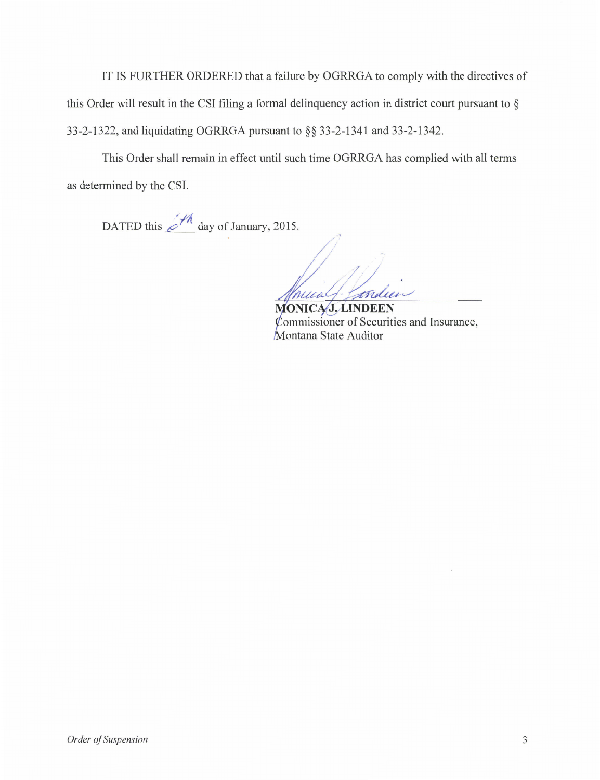33-2-1322, and liquidating OGRRGA pursuant to §§ 33-2-1341 and 33-2-1342. this Order will result in the CSI filing a formal delinquency action in district court pursuant to § IT IS FURTHER ORDERED that a failure by OGRRGA to comply with the directives of

as determined by the CSI. This Order shall remain in effect until such time OGRRGA has complied with all terms

DATED this  $\cancel{\mathcal{A}}_A$  day of January, 2015.

/ nualf. tridie

MONICAJ, LINDEEN ommissioner of Securities and Insurance, Montana State Auditor